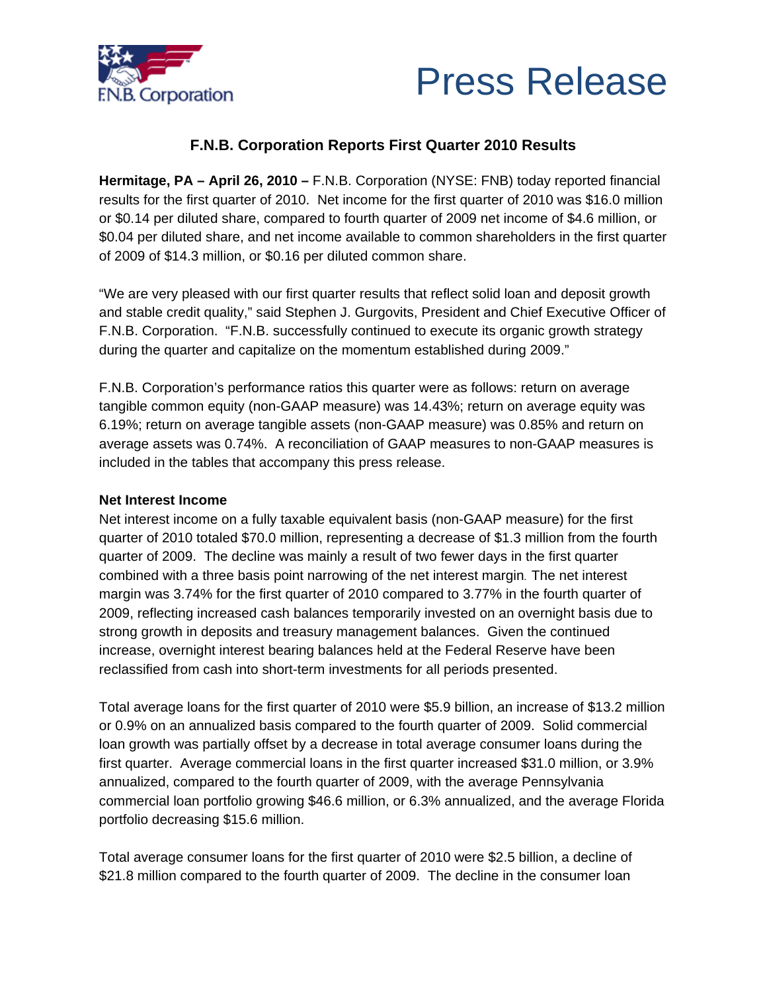



# **F.N.B. Corporation Reports First Quarter 2010 Results**

**Hermitage, PA – April 26, 2010 –** F.N.B. Corporation (NYSE: FNB) today reported financial results for the first quarter of 2010. Net income for the first quarter of 2010 was \$16.0 million or \$0.14 per diluted share, compared to fourth quarter of 2009 net income of \$4.6 million, or \$0.04 per diluted share, and net income available to common shareholders in the first quarter of 2009 of \$14.3 million, or \$0.16 per diluted common share.

"We are very pleased with our first quarter results that reflect solid loan and deposit growth and stable credit quality," said Stephen J. Gurgovits, President and Chief Executive Officer of F.N.B. Corporation. "F.N.B. successfully continued to execute its organic growth strategy during the quarter and capitalize on the momentum established during 2009."

F.N.B. Corporation's performance ratios this quarter were as follows: return on average tangible common equity (non-GAAP measure) was 14.43%; return on average equity was 6.19%; return on average tangible assets (non-GAAP measure) was 0.85% and return on average assets was 0.74%. A reconciliation of GAAP measures to non-GAAP measures is included in the tables that accompany this press release.

### **Net Interest Income**

Net interest income on a fully taxable equivalent basis (non-GAAP measure) for the first quarter of 2010 totaled \$70.0 million, representing a decrease of \$1.3 million from the fourth quarter of 2009. The decline was mainly a result of two fewer days in the first quarter combined with a three basis point narrowing of the net interest margin. The net interest margin was 3.74% for the first quarter of 2010 compared to 3.77% in the fourth quarter of 2009, reflecting increased cash balances temporarily invested on an overnight basis due to strong growth in deposits and treasury management balances. Given the continued increase, overnight interest bearing balances held at the Federal Reserve have been reclassified from cash into short-term investments for all periods presented.

Total average loans for the first quarter of 2010 were \$5.9 billion, an increase of \$13.2 million or 0.9% on an annualized basis compared to the fourth quarter of 2009. Solid commercial loan growth was partially offset by a decrease in total average consumer loans during the first quarter. Average commercial loans in the first quarter increased \$31.0 million, or 3.9% annualized, compared to the fourth quarter of 2009, with the average Pennsylvania commercial loan portfolio growing \$46.6 million, or 6.3% annualized, and the average Florida portfolio decreasing \$15.6 million.

Total average consumer loans for the first quarter of 2010 were \$2.5 billion, a decline of \$21.8 million compared to the fourth quarter of 2009. The decline in the consumer loan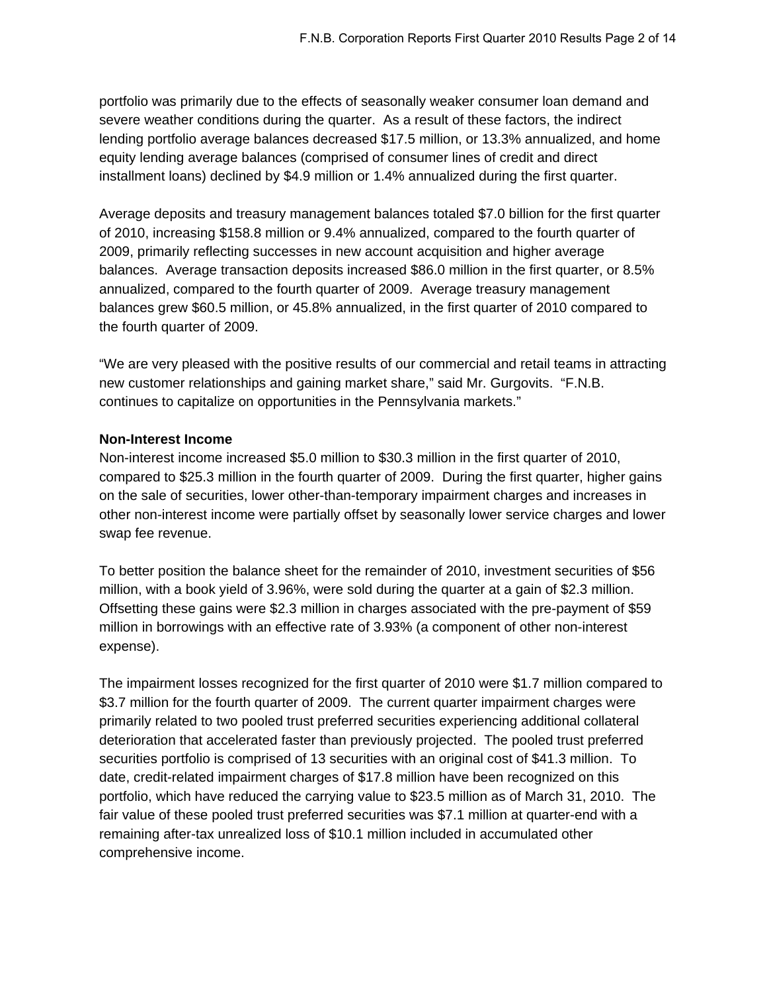portfolio was primarily due to the effects of seasonally weaker consumer loan demand and severe weather conditions during the quarter. As a result of these factors, the indirect lending portfolio average balances decreased \$17.5 million, or 13.3% annualized, and home equity lending average balances (comprised of consumer lines of credit and direct installment loans) declined by \$4.9 million or 1.4% annualized during the first quarter.

Average deposits and treasury management balances totaled \$7.0 billion for the first quarter of 2010, increasing \$158.8 million or 9.4% annualized, compared to the fourth quarter of 2009, primarily reflecting successes in new account acquisition and higher average balances. Average transaction deposits increased \$86.0 million in the first quarter, or 8.5% annualized, compared to the fourth quarter of 2009. Average treasury management balances grew \$60.5 million, or 45.8% annualized, in the first quarter of 2010 compared to the fourth quarter of 2009.

"We are very pleased with the positive results of our commercial and retail teams in attracting new customer relationships and gaining market share," said Mr. Gurgovits. "F.N.B. continues to capitalize on opportunities in the Pennsylvania markets."

### **Non-Interest Income**

Non-interest income increased \$5.0 million to \$30.3 million in the first quarter of 2010, compared to \$25.3 million in the fourth quarter of 2009. During the first quarter, higher gains on the sale of securities, lower other-than-temporary impairment charges and increases in other non-interest income were partially offset by seasonally lower service charges and lower swap fee revenue.

To better position the balance sheet for the remainder of 2010, investment securities of \$56 million, with a book yield of 3.96%, were sold during the quarter at a gain of \$2.3 million. Offsetting these gains were \$2.3 million in charges associated with the pre-payment of \$59 million in borrowings with an effective rate of 3.93% (a component of other non-interest expense).

The impairment losses recognized for the first quarter of 2010 were \$1.7 million compared to \$3.7 million for the fourth quarter of 2009. The current quarter impairment charges were primarily related to two pooled trust preferred securities experiencing additional collateral deterioration that accelerated faster than previously projected. The pooled trust preferred securities portfolio is comprised of 13 securities with an original cost of \$41.3 million. To date, credit-related impairment charges of \$17.8 million have been recognized on this portfolio, which have reduced the carrying value to \$23.5 million as of March 31, 2010. The fair value of these pooled trust preferred securities was \$7.1 million at quarter-end with a remaining after-tax unrealized loss of \$10.1 million included in accumulated other comprehensive income.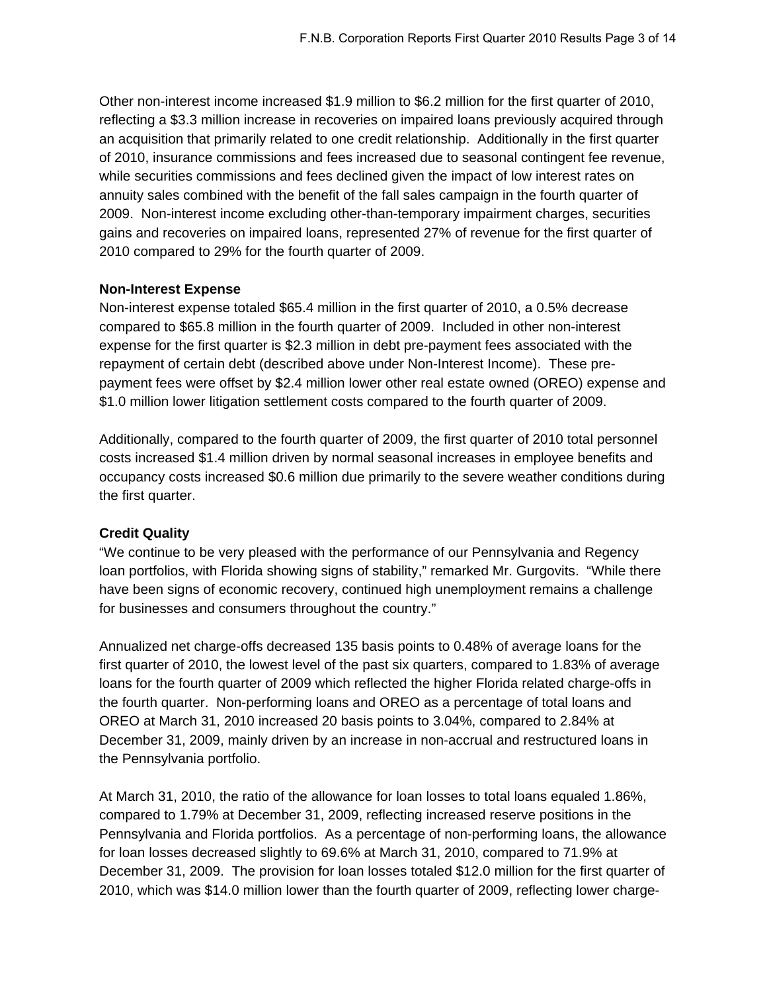Other non-interest income increased \$1.9 million to \$6.2 million for the first quarter of 2010, reflecting a \$3.3 million increase in recoveries on impaired loans previously acquired through an acquisition that primarily related to one credit relationship. Additionally in the first quarter of 2010, insurance commissions and fees increased due to seasonal contingent fee revenue, while securities commissions and fees declined given the impact of low interest rates on annuity sales combined with the benefit of the fall sales campaign in the fourth quarter of 2009. Non-interest income excluding other-than-temporary impairment charges, securities gains and recoveries on impaired loans, represented 27% of revenue for the first quarter of 2010 compared to 29% for the fourth quarter of 2009.

### **Non-Interest Expense**

Non-interest expense totaled \$65.4 million in the first quarter of 2010, a 0.5% decrease compared to \$65.8 million in the fourth quarter of 2009. Included in other non-interest expense for the first quarter is \$2.3 million in debt pre-payment fees associated with the repayment of certain debt (described above under Non-Interest Income). These prepayment fees were offset by \$2.4 million lower other real estate owned (OREO) expense and \$1.0 million lower litigation settlement costs compared to the fourth quarter of 2009.

Additionally, compared to the fourth quarter of 2009, the first quarter of 2010 total personnel costs increased \$1.4 million driven by normal seasonal increases in employee benefits and occupancy costs increased \$0.6 million due primarily to the severe weather conditions during the first quarter.

### **Credit Quality**

"We continue to be very pleased with the performance of our Pennsylvania and Regency loan portfolios, with Florida showing signs of stability," remarked Mr. Gurgovits. "While there have been signs of economic recovery, continued high unemployment remains a challenge for businesses and consumers throughout the country."

Annualized net charge-offs decreased 135 basis points to 0.48% of average loans for the first quarter of 2010, the lowest level of the past six quarters, compared to 1.83% of average loans for the fourth quarter of 2009 which reflected the higher Florida related charge-offs in the fourth quarter. Non-performing loans and OREO as a percentage of total loans and OREO at March 31, 2010 increased 20 basis points to 3.04%, compared to 2.84% at December 31, 2009, mainly driven by an increase in non-accrual and restructured loans in the Pennsylvania portfolio.

At March 31, 2010, the ratio of the allowance for loan losses to total loans equaled 1.86%, compared to 1.79% at December 31, 2009, reflecting increased reserve positions in the Pennsylvania and Florida portfolios. As a percentage of non-performing loans, the allowance for loan losses decreased slightly to 69.6% at March 31, 2010, compared to 71.9% at December 31, 2009. The provision for loan losses totaled \$12.0 million for the first quarter of 2010, which was \$14.0 million lower than the fourth quarter of 2009, reflecting lower charge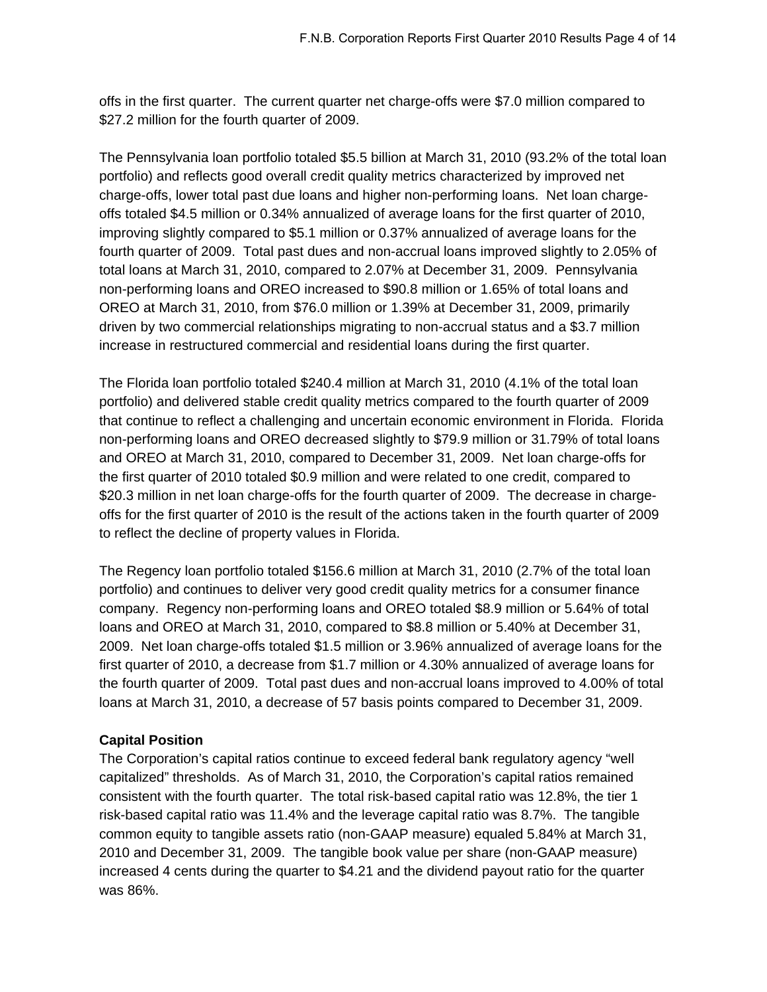offs in the first quarter. The current quarter net charge-offs were \$7.0 million compared to \$27.2 million for the fourth quarter of 2009.

The Pennsylvania loan portfolio totaled \$5.5 billion at March 31, 2010 (93.2% of the total loan portfolio) and reflects good overall credit quality metrics characterized by improved net charge-offs, lower total past due loans and higher non-performing loans. Net loan chargeoffs totaled \$4.5 million or 0.34% annualized of average loans for the first quarter of 2010, improving slightly compared to \$5.1 million or 0.37% annualized of average loans for the fourth quarter of 2009. Total past dues and non-accrual loans improved slightly to 2.05% of total loans at March 31, 2010, compared to 2.07% at December 31, 2009. Pennsylvania non-performing loans and OREO increased to \$90.8 million or 1.65% of total loans and OREO at March 31, 2010, from \$76.0 million or 1.39% at December 31, 2009, primarily driven by two commercial relationships migrating to non-accrual status and a \$3.7 million increase in restructured commercial and residential loans during the first quarter.

The Florida loan portfolio totaled \$240.4 million at March 31, 2010 (4.1% of the total loan portfolio) and delivered stable credit quality metrics compared to the fourth quarter of 2009 that continue to reflect a challenging and uncertain economic environment in Florida. Florida non-performing loans and OREO decreased slightly to \$79.9 million or 31.79% of total loans and OREO at March 31, 2010, compared to December 31, 2009. Net loan charge-offs for the first quarter of 2010 totaled \$0.9 million and were related to one credit, compared to \$20.3 million in net loan charge-offs for the fourth quarter of 2009. The decrease in chargeoffs for the first quarter of 2010 is the result of the actions taken in the fourth quarter of 2009 to reflect the decline of property values in Florida.

The Regency loan portfolio totaled \$156.6 million at March 31, 2010 (2.7% of the total loan portfolio) and continues to deliver very good credit quality metrics for a consumer finance company. Regency non-performing loans and OREO totaled \$8.9 million or 5.64% of total loans and OREO at March 31, 2010, compared to \$8.8 million or 5.40% at December 31, 2009. Net loan charge-offs totaled \$1.5 million or 3.96% annualized of average loans for the first quarter of 2010, a decrease from \$1.7 million or 4.30% annualized of average loans for the fourth quarter of 2009. Total past dues and non-accrual loans improved to 4.00% of total loans at March 31, 2010, a decrease of 57 basis points compared to December 31, 2009.

### **Capital Position**

The Corporation's capital ratios continue to exceed federal bank regulatory agency "well capitalized" thresholds. As of March 31, 2010, the Corporation's capital ratios remained consistent with the fourth quarter. The total risk-based capital ratio was 12.8%, the tier 1 risk-based capital ratio was 11.4% and the leverage capital ratio was 8.7%. The tangible common equity to tangible assets ratio (non-GAAP measure) equaled 5.84% at March 31, 2010 and December 31, 2009. The tangible book value per share (non-GAAP measure) increased 4 cents during the quarter to \$4.21 and the dividend payout ratio for the quarter was 86%.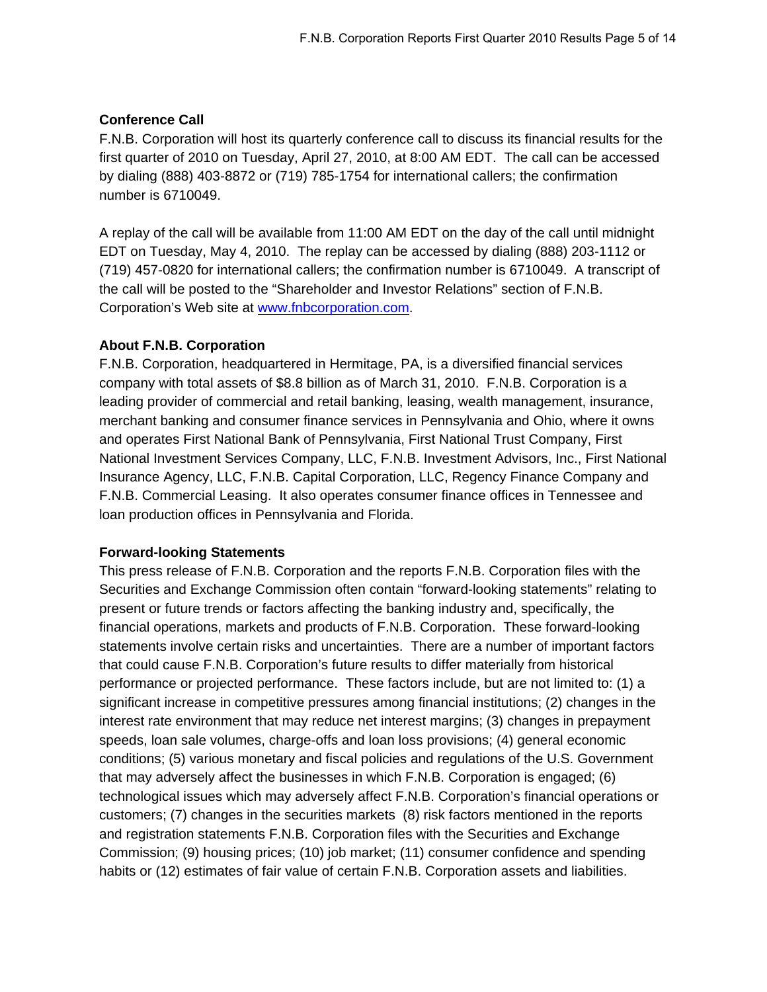# **Conference Call**

F.N.B. Corporation will host its quarterly conference call to discuss its financial results for the first quarter of 2010 on Tuesday, April 27, 2010, at 8:00 AM EDT. The call can be accessed by dialing (888) 403-8872 or (719) 785-1754 for international callers; the confirmation number is 6710049.

A replay of the call will be available from 11:00 AM EDT on the day of the call until midnight EDT on Tuesday, May 4, 2010. The replay can be accessed by dialing (888) 203-1112 or (719) 457-0820 for international callers; the confirmation number is 6710049. A transcript of the call will be posted to the "Shareholder and Investor Relations" section of F.N.B. Corporation's Web site at [www.fnbcorporation.com.](http://www.fnbcorporation.com/)

# **About F.N.B. Corporation**

F.N.B. Corporation, headquartered in Hermitage, PA, is a diversified financial services company with total assets of \$8.8 billion as of March 31, 2010. F.N.B. Corporation is a leading provider of commercial and retail banking, leasing, wealth management, insurance, merchant banking and consumer finance services in Pennsylvania and Ohio, where it owns and operates First National Bank of Pennsylvania, First National Trust Company, First National Investment Services Company, LLC, F.N.B. Investment Advisors, Inc., First National Insurance Agency, LLC, F.N.B. Capital Corporation, LLC, Regency Finance Company and F.N.B. Commercial Leasing. It also operates consumer finance offices in Tennessee and loan production offices in Pennsylvania and Florida.

### **Forward-looking Statements**

This press release of F.N.B. Corporation and the reports F.N.B. Corporation files with the Securities and Exchange Commission often contain "forward-looking statements" relating to present or future trends or factors affecting the banking industry and, specifically, the financial operations, markets and products of F.N.B. Corporation. These forward-looking statements involve certain risks and uncertainties. There are a number of important factors that could cause F.N.B. Corporation's future results to differ materially from historical performance or projected performance. These factors include, but are not limited to: (1) a significant increase in competitive pressures among financial institutions; (2) changes in the interest rate environment that may reduce net interest margins; (3) changes in prepayment speeds, loan sale volumes, charge-offs and loan loss provisions; (4) general economic conditions; (5) various monetary and fiscal policies and regulations of the U.S. Government that may adversely affect the businesses in which F.N.B. Corporation is engaged; (6) technological issues which may adversely affect F.N.B. Corporation's financial operations or customers; (7) changes in the securities markets (8) risk factors mentioned in the reports and registration statements F.N.B. Corporation files with the Securities and Exchange Commission; (9) housing prices; (10) job market; (11) consumer confidence and spending habits or (12) estimates of fair value of certain F.N.B. Corporation assets and liabilities.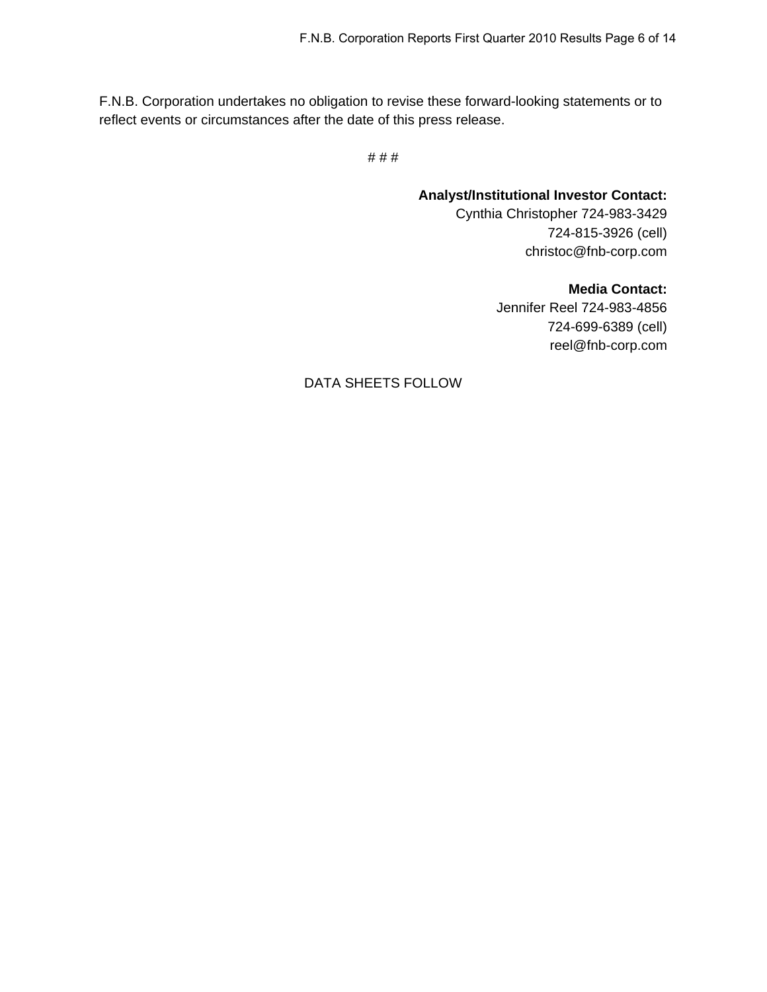F.N.B. Corporation undertakes no obligation to revise these forward-looking statements or to reflect events or circumstances after the date of this press release.

# # #

**Analyst/Institutional Investor Contact:**  Cynthia Christopher 724-983-3429 724-815-3926 (cell) christoc@fnb-corp.com

> **Media Contact:**  Jennifer Reel 724-983-4856 724-699-6389 (cell) reel@fnb-corp.com

DATA SHEETS FOLLOW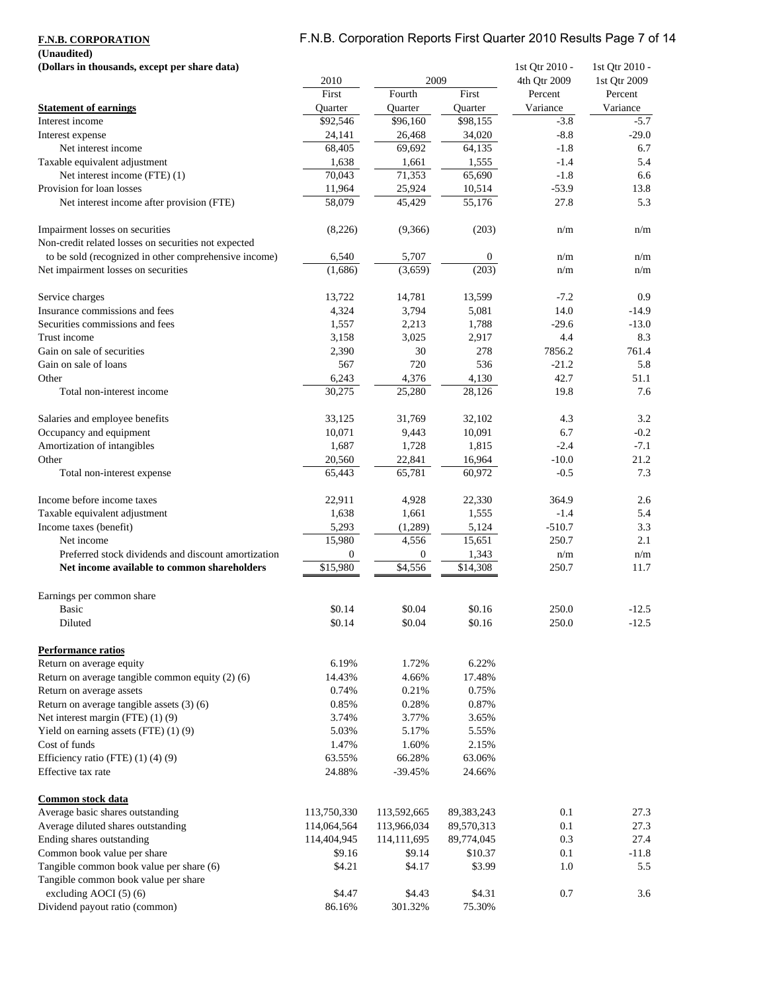# F.N.B. Corporation Reports First Quarter 2010 Results Page 7 of 14

**(Unaudited)**

| (Dollars in thousands, except per share data)         |                |                  |                      | 1st Qtr 2010 - | 1st Qtr 2010 - |
|-------------------------------------------------------|----------------|------------------|----------------------|----------------|----------------|
|                                                       | 2010           | 2009             |                      | 4th Qtr 2009   | 1st Qtr 2009   |
|                                                       | First          | Fourth           | First                | Percent        | Percent        |
| <b>Statement of earnings</b>                          | <b>Ouarter</b> | Quarter          | Ouarter              | Variance       | Variance       |
| Interest income                                       | \$92,546       | \$96,160         | \$98,155             | $-3.8$         | $-5.7$         |
| Interest expense                                      | 24,141         | 26,468           | 34,020               | $-8.8$         | $-29.0$        |
| Net interest income                                   | 68,405         | 69,692           | 64,135               | $-1.8$         | 6.7            |
| Taxable equivalent adjustment                         | 1,638          | 1,661            | 1,555                | $-1.4$         | 5.4            |
| Net interest income (FTE) (1)                         | 70,043         | 71,353           | 65,690               | $-1.8$         | 6.6            |
| Provision for loan losses                             | 11,964         | 25,924           | 10,514               | $-53.9$        | 13.8           |
| Net interest income after provision (FTE)             | 58,079         | 45,429           | 55,176               | 27.8           | 5.3            |
| Impairment losses on securities                       | (8,226)        | (9,366)          | (203)                | n/m            | n/m            |
| Non-credit related losses on securities not expected  |                |                  |                      |                |                |
| to be sold (recognized in other comprehensive income) | 6,540          | 5,707            | $\boldsymbol{0}$     | n/m            | n/m            |
| Net impairment losses on securities                   | (1,686)        | (3,659)          | (203)                | n/m            | n/m            |
| Service charges                                       | 13,722         | 14,781           | 13,599               | $-7.2$         | 0.9            |
| Insurance commissions and fees                        | 4,324          | 3,794            | 5,081                | 14.0           | $-14.9$        |
| Securities commissions and fees                       | 1,557          | 2,213            | 1,788                | $-29.6$        | $-13.0$        |
| Trust income                                          | 3,158          | 3,025            | 2,917                | 4.4            | 8.3            |
| Gain on sale of securities                            | 2,390          | 30               | 278                  | 7856.2         | 761.4          |
| Gain on sale of loans                                 | 567            | 720              | 536                  | $-21.2$        | 5.8            |
| Other                                                 | 6,243          | 4,376            | 4,130                | 42.7           | 51.1           |
| Total non-interest income                             | 30,275         | 25,280           | 28,126               | 19.8           | 7.6            |
| Salaries and employee benefits                        | 33,125         | 31,769           | 32,102               | 4.3            | 3.2            |
| Occupancy and equipment                               | 10,071         | 9,443            | 10,091               | 6.7            | $-0.2$         |
| Amortization of intangibles                           | 1,687          | 1,728            | 1,815                | $-2.4$         | $-7.1$         |
| Other                                                 | 20,560         | 22,841           | 16,964               | $-10.0$        | 21.2           |
| Total non-interest expense                            | 65,443         | 65,781           | 60,972               | $-0.5$         | 7.3            |
| Income before income taxes                            | 22,911         | 4,928            | 22,330               | 364.9          | 2.6            |
| Taxable equivalent adjustment                         | 1,638          | 1,661            | 1,555                | $-1.4$         | 5.4            |
| Income taxes (benefit)                                | 5,293          | (1,289)          | 5,124                | $-510.7$       | 3.3            |
| Net income                                            | 15,980         | 4,556            | 15,651               | 250.7          | 2.1            |
| Preferred stock dividends and discount amortization   | 0              | $\boldsymbol{0}$ | 1,343                | n/m            | n/m            |
| Net income available to common shareholders           | \$15,980       | \$4,556          | $\overline{$}14,308$ | 250.7          | 11.7           |
| Earnings per common share                             |                |                  |                      |                |                |
| Basic                                                 | \$0.14         | \$0.04           | \$0.16               | 250.0          | $-12.5$        |
| Diluted                                               | \$0.14         | \$0.04           | \$0.16               | 250.0          | $-12.5$        |
| <b>Performance ratios</b>                             |                |                  |                      |                |                |
| Return on average equity                              | 6.19%          | 1.72%            | 6.22%                |                |                |
| Return on average tangible common equity (2) (6)      | 14.43%         | 4.66%            | 17.48%               |                |                |
| Return on average assets                              | 0.74%          | 0.21%            | 0.75%                |                |                |
| Return on average tangible assets (3) (6)             | 0.85%          | 0.28%            | 0.87%                |                |                |
| Net interest margin (FTE) (1) (9)                     | 3.74%          | 3.77%            | 3.65%                |                |                |
| Yield on earning assets (FTE) (1) (9)                 | 5.03%          | 5.17%            | 5.55%                |                |                |
| Cost of funds                                         | 1.47%          | 1.60%            | 2.15%                |                |                |
| Efficiency ratio (FTE) (1) (4) (9)                    | 63.55%         | 66.28%           | 63.06%               |                |                |
| Effective tax rate                                    | 24.88%         | $-39.45%$        | 24.66%               |                |                |
| Common stock data                                     |                |                  |                      |                |                |
| Average basic shares outstanding                      | 113,750,330    | 113,592,665      | 89, 383, 243         | 0.1            | 27.3           |
| Average diluted shares outstanding                    | 114,064,564    | 113,966,034      | 89,570,313           | 0.1            | 27.3           |
| Ending shares outstanding                             | 114,404,945    | 114,111,695      | 89,774,045           | 0.3            | 27.4           |
| Common book value per share                           | \$9.16         | \$9.14           | \$10.37              | 0.1            | $-11.8$        |
| Tangible common book value per share (6)              | \$4.21         | \$4.17           | \$3.99               | 1.0            | 5.5            |
| Tangible common book value per share                  |                |                  |                      |                |                |
| excluding AOCI (5) (6)                                | \$4.47         | \$4.43           | \$4.31               | 0.7            | 3.6            |
| Dividend payout ratio (common)                        | 86.16%         | 301.32%          | 75.30%               |                |                |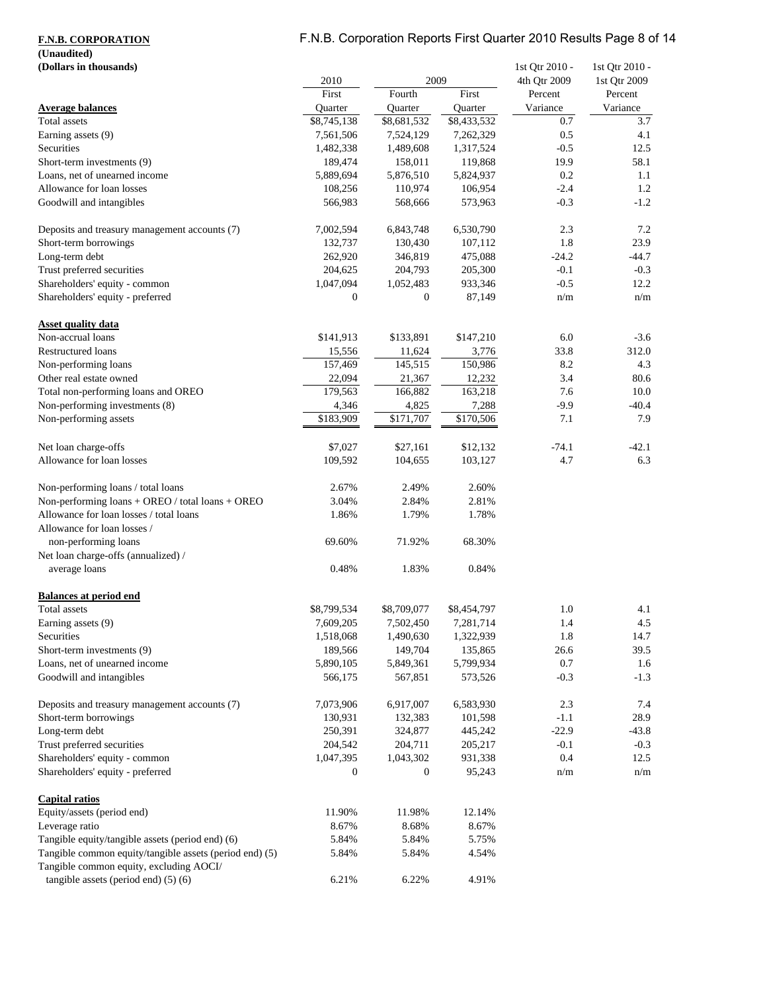# **(Unaudited)**

# F.N.B. Corporation Reports First Quarter 2010 Results Page 8 of 14

| (Dollars in thousands)                                  |                  |              |             | 1st Qtr 2010 - | 1st Qtr 2010 - |  |
|---------------------------------------------------------|------------------|--------------|-------------|----------------|----------------|--|
|                                                         | 2010             | 2009         |             | 4th Qtr 2009   | 1st Qtr 2009   |  |
|                                                         | First            | Fourth       | First       | Percent        | Percent        |  |
| <b>Average balances</b>                                 | Quarter          | Quarter      | Quarter     | Variance       | Variance       |  |
| Total assets                                            | \$8,745,138      | \$8,681,532  | \$8,433,532 | 0.7            | 3.7            |  |
| Earning assets (9)                                      | 7,561,506        | 7,524,129    | 7,262,329   | 0.5            | 4.1            |  |
| Securities                                              | 1,482,338        | 1,489,608    | 1,317,524   | $-0.5$         | 12.5           |  |
| Short-term investments (9)                              | 189,474          | 158,011      | 119,868     | 19.9           | 58.1           |  |
| Loans, net of unearned income                           | 5,889,694        | 5,876,510    | 5,824,937   | 0.2            | 1.1            |  |
| Allowance for loan losses                               | 108,256          | 110,974      | 106,954     | $-2.4$         | 1.2            |  |
| Goodwill and intangibles                                | 566,983          | 568,666      | 573,963     | $-0.3$         | $-1.2$         |  |
| Deposits and treasury management accounts (7)           | 7,002,594        | 6,843,748    | 6,530,790   | 2.3            | 7.2            |  |
| Short-term borrowings                                   | 132,737          | 130,430      | 107,112     | 1.8            | 23.9           |  |
| Long-term debt                                          | 262,920          | 346,819      | 475,088     | $-24.2$        | $-44.7$        |  |
| Trust preferred securities                              | 204,625          | 204,793      | 205,300     | $-0.1$         | $-0.3$         |  |
| Shareholders' equity - common                           | 1,047,094        | 1,052,483    | 933,346     | $-0.5$         | 12.2           |  |
| Shareholders' equity - preferred                        | $\boldsymbol{0}$ | $\mathbf{0}$ | 87,149      | n/m            | n/m            |  |
| <b>Asset quality data</b>                               |                  |              |             |                |                |  |
| Non-accrual loans                                       | \$141,913        | \$133,891    | \$147,210   | 6.0            | $-3.6$         |  |
| Restructured loans                                      | 15,556           | 11,624       | 3,776       | 33.8           | 312.0          |  |
| Non-performing loans                                    | 157,469          | 145,515      | 150,986     | 8.2            | 4.3            |  |
| Other real estate owned                                 | 22,094           | 21,367       | 12,232      | 3.4            | 80.6           |  |
| Total non-performing loans and OREO                     | 179,563          | 166,882      | 163,218     | 7.6            | 10.0           |  |
| Non-performing investments (8)                          | 4,346            | 4,825        | 7,288       | $-9.9$         | $-40.4$        |  |
| Non-performing assets                                   | \$183,909        | \$171,707    | \$170,506   | 7.1            | 7.9            |  |
| Net loan charge-offs                                    | \$7,027          | \$27,161     | \$12,132    | $-74.1$        | $-42.1$        |  |
| Allowance for loan losses                               | 109,592          | 104,655      | 103,127     | 4.7            | 6.3            |  |
|                                                         |                  |              |             |                |                |  |
| Non-performing loans / total loans                      | 2.67%            | 2.49%        | 2.60%       |                |                |  |
| Non-performing loans + OREO / total loans + OREO        | 3.04%            | 2.84%        | 2.81%       |                |                |  |
| Allowance for loan losses / total loans                 | 1.86%            | 1.79%        | 1.78%       |                |                |  |
| Allowance for loan losses /                             |                  |              |             |                |                |  |
| non-performing loans                                    | 69.60%           | 71.92%       | 68.30%      |                |                |  |
| Net loan charge-offs (annualized) /                     |                  |              |             |                |                |  |
| average loans                                           | 0.48%            | 1.83%        | 0.84%       |                |                |  |
| <b>Balances at period end</b>                           |                  |              |             |                |                |  |
| <b>Total</b> assets                                     | \$8,799,534      | \$8,709,077  | \$8,454,797 | 1.0            | 4.1            |  |
| Earning assets (9)                                      | 7,609,205        | 7,502,450    | 7,281,714   | 1.4            | $4.5\,$        |  |
| Securities                                              | 1,518,068        | 1,490,630    | 1,322,939   | 1.8            | 14.7           |  |
| Short-term investments (9)                              | 189,566          | 149,704      | 135,865     | 26.6           | 39.5           |  |
| Loans, net of unearned income                           | 5,890,105        | 5,849,361    | 5,799,934   | 0.7            | 1.6            |  |
| Goodwill and intangibles                                | 566,175          | 567,851      | 573,526     | $-0.3$         | $-1.3$         |  |
|                                                         |                  |              |             |                |                |  |
| Deposits and treasury management accounts (7)           | 7,073,906        | 6,917,007    | 6,583,930   | 2.3            | 7.4            |  |
| Short-term borrowings                                   | 130,931          | 132,383      | 101,598     | $-1.1$         | 28.9           |  |
| Long-term debt                                          | 250,391          | 324,877      | 445,242     | $-22.9$        | $-43.8$        |  |
| Trust preferred securities                              | 204,542          | 204,711      | 205,217     | $-0.1$         | $-0.3$         |  |
| Shareholders' equity - common                           | 1,047,395        | 1,043,302    | 931,338     | 0.4            | 12.5           |  |
| Shareholders' equity - preferred                        | $\overline{0}$   | $\mathbf{0}$ | 95,243      | n/m            | n/m            |  |
| <b>Capital ratios</b>                                   |                  |              |             |                |                |  |
| Equity/assets (period end)                              | 11.90%           | 11.98%       | 12.14%      |                |                |  |
| Leverage ratio                                          | 8.67%            | 8.68%        | 8.67%       |                |                |  |
| Tangible equity/tangible assets (period end) (6)        | 5.84%            | 5.84%        | 5.75%       |                |                |  |
| Tangible common equity/tangible assets (period end) (5) | 5.84%            | 5.84%        | 4.54%       |                |                |  |
| Tangible common equity, excluding AOCI/                 |                  |              |             |                |                |  |
| tangible assets (period end) $(5)$ (6)                  | 6.21%            | 6.22%        | 4.91%       |                |                |  |
|                                                         |                  |              |             |                |                |  |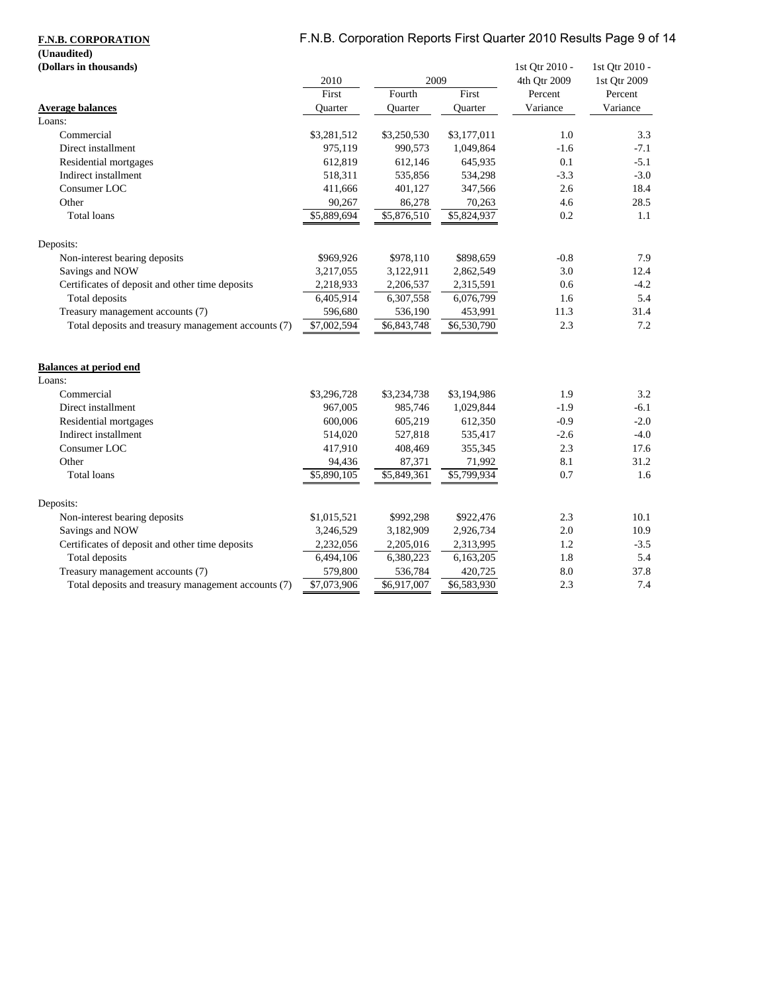# F.N.B. Corporation Reports First Quarter 2010 Results Page 9 of 14

**(Unaudited)**

| (Dollars in thousands)                              |             |                         |                         | 1st Qtr 2010 - | 1st Qtr 2010 - |
|-----------------------------------------------------|-------------|-------------------------|-------------------------|----------------|----------------|
|                                                     | 2010        | 2009                    |                         | 4th Qtr 2009   | 1st Qtr 2009   |
|                                                     | First       | Fourth                  | First                   | Percent        | Percent        |
| <b>Average balances</b>                             | Quarter     | Quarter                 | Quarter                 | Variance       | Variance       |
| Loans:                                              |             |                         |                         |                |                |
| Commercial                                          | \$3,281,512 | \$3,250,530             | \$3,177,011             | 1.0            | 3.3            |
| Direct installment                                  | 975,119     | 990,573                 | 1,049,864               | $-1.6$         | $-7.1$         |
| Residential mortgages                               | 612,819     | 612,146                 | 645,935                 | 0.1            | $-5.1$         |
| Indirect installment                                | 518,311     | 535,856                 | 534,298                 | $-3.3$         | $-3.0$         |
| Consumer LOC                                        | 411,666     | 401,127                 | 347,566                 | 2.6            | 18.4           |
| Other                                               | 90,267      | 86,278                  | 70,263                  | 4.6            | 28.5           |
| <b>Total loans</b>                                  | \$5,889,694 | \$5,876,510             | \$5,824,937             | 0.2            | 1.1            |
| Deposits:                                           |             |                         |                         |                |                |
| Non-interest bearing deposits                       | \$969,926   | \$978,110               | \$898,659               | $-0.8$         | 7.9            |
| Savings and NOW                                     | 3,217,055   | 3,122,911               | 2,862,549               | 3.0            | 12.4           |
| Certificates of deposit and other time deposits     | 2,218,933   | 2,206,537               | 2,315,591               | 0.6            | $-4.2$         |
| Total deposits                                      | 6,405,914   | 6,307,558               | 6,076,799               | 1.6            | 5.4            |
| Treasury management accounts (7)                    | 596,680     | 536,190                 | 453,991                 | 11.3           | 31.4           |
| Total deposits and treasury management accounts (7) | \$7,002,594 | \$6,843,748             | \$6,530,790             | 2.3            | 7.2            |
|                                                     |             |                         |                         |                |                |
| <b>Balances at period end</b>                       |             |                         |                         |                |                |
| Loans:                                              |             |                         |                         |                |                |
| Commercial                                          | \$3,296,728 | \$3,234,738             | \$3,194,986             | 1.9            | 3.2            |
| Direct installment                                  | 967,005     | 985,746                 | 1,029,844               | $-1.9$         | $-6.1$         |
| Residential mortgages                               | 600,006     | 605,219                 | 612,350                 | $-0.9$         | $-2.0$         |
| Indirect installment                                | 514,020     | 527,818                 | 535,417                 | $-2.6$         | $-4.0$         |
| Consumer LOC                                        | 417,910     | 408,469                 | 355,345                 | 2.3            | 17.6           |
| Other                                               | 94,436      | 87,371                  | 71,992                  | 8.1            | 31.2           |
| Total loans                                         | \$5,890,105 | $\overline{$}5,849,361$ | $\overline{85,799,934}$ | 0.7            | 1.6            |
| Deposits:                                           |             |                         |                         |                |                |
| Non-interest bearing deposits                       | \$1,015,521 | \$992,298               | \$922,476               | 2.3            | 10.1           |
| Savings and NOW                                     | 3,246,529   | 3,182,909               | 2,926,734               | 2.0            | 10.9           |
| Certificates of deposit and other time deposits     | 2,232,056   | 2,205,016               | 2,313,995               | 1.2            | $-3.5$         |
| Total deposits                                      | 6,494,106   | 6,380,223               | 6,163,205               | 1.8            | 5.4            |
| Treasury management accounts (7)                    | 579,800     | 536,784                 | 420,725                 | 8.0            | 37.8           |
| Total deposits and treasury management accounts (7) | \$7,073,906 | \$6,917,007             | \$6,583,930             | 2.3            | 7.4            |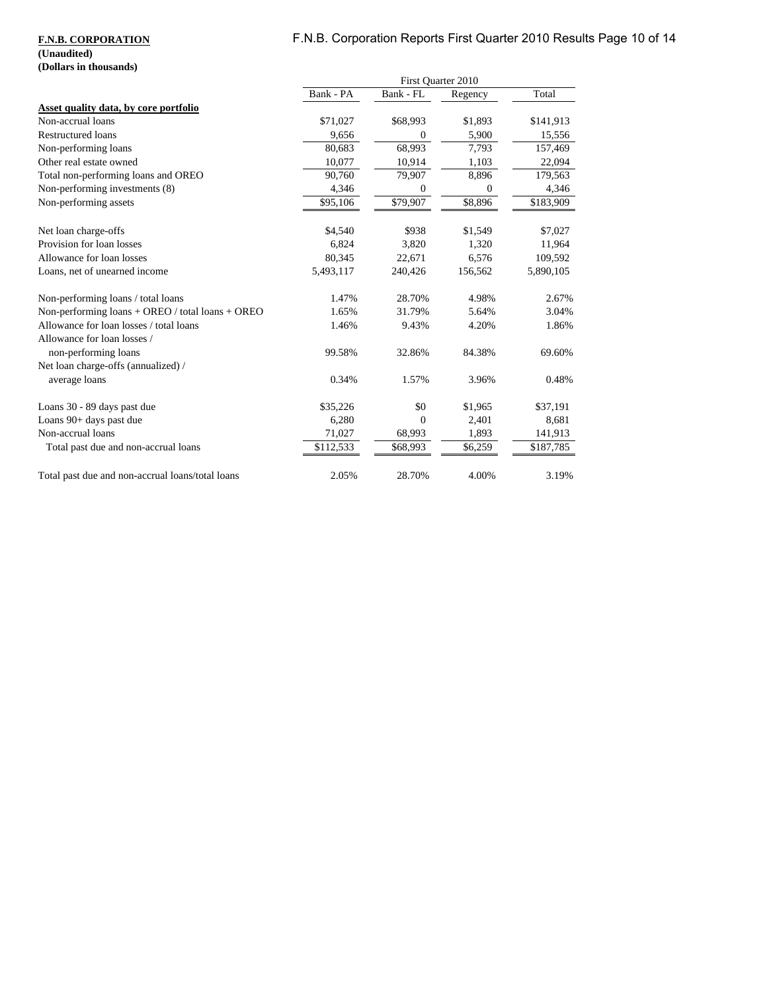# F.N.B. Corporation Reports First Quarter 2010 Results Page 10 of 14

### **F.N.B. CORPORATION**

### **(Unaudited) (Dollars in thousands)**

|                                                  | First Quarter 2010 |           |              |                       |
|--------------------------------------------------|--------------------|-----------|--------------|-----------------------|
|                                                  | Bank - PA          | Bank - FL | Regency      | Total                 |
| Asset quality data, by core portfolio            |                    |           |              |                       |
| Non-accrual loans                                | \$71,027           | \$68,993  | \$1,893      | \$141,913             |
| Restructured loans                               | 9,656              | $\Omega$  | 5,900        | 15,556                |
| Non-performing loans                             | 80,683             | 68,993    | 7,793        | 157,469               |
| Other real estate owned                          | 10,077             | 10,914    | 1,103        | 22,094                |
| Total non-performing loans and OREO              | 90,760             | 79,907    | 8,896        | 179,563               |
| Non-performing investments (8)                   | 4,346              | $\theta$  | $\mathbf{0}$ | 4,346                 |
| Non-performing assets                            | \$95,106           | \$79,907  | \$8,896      | $\overline{$}183,909$ |
| Net loan charge-offs                             | \$4,540            | \$938     | \$1,549      | \$7,027               |
| Provision for loan losses                        | 6.824              | 3,820     | 1,320        | 11,964                |
| Allowance for loan losses                        | 80,345             | 22,671    | 6,576        | 109,592               |
| Loans, net of unearned income                    | 5,493,117          | 240,426   | 156,562      | 5,890,105             |
| Non-performing loans / total loans               | 1.47%              | 28.70%    | 4.98%        | 2.67%                 |
| Non-performing loans + OREO / total loans + OREO | 1.65%              | 31.79%    | 5.64%        | 3.04%                 |
| Allowance for loan losses / total loans          | 1.46%              | 9.43%     | 4.20%        | 1.86%                 |
| Allowance for loan losses /                      |                    |           |              |                       |
| non-performing loans                             | 99.58%             | 32.86%    | 84.38%       | 69.60%                |
| Net loan charge-offs (annualized) /              |                    |           |              |                       |
| average loans                                    | 0.34%              | 1.57%     | 3.96%        | 0.48%                 |
| Loans 30 - 89 days past due                      | \$35,226           | \$0       | \$1,965      | \$37,191              |
| Loans 90+ days past due                          | 6,280              | $\Omega$  | 2,401        | 8,681                 |
| Non-accrual loans                                | 71,027             | 68,993    | 1,893        | 141,913               |
| Total past due and non-accrual loans             | \$112,533          | \$68,993  | \$6,259      | \$187,785             |
| Total past due and non-accrual loans/total loans | 2.05%              | 28.70%    | 4.00%        | 3.19%                 |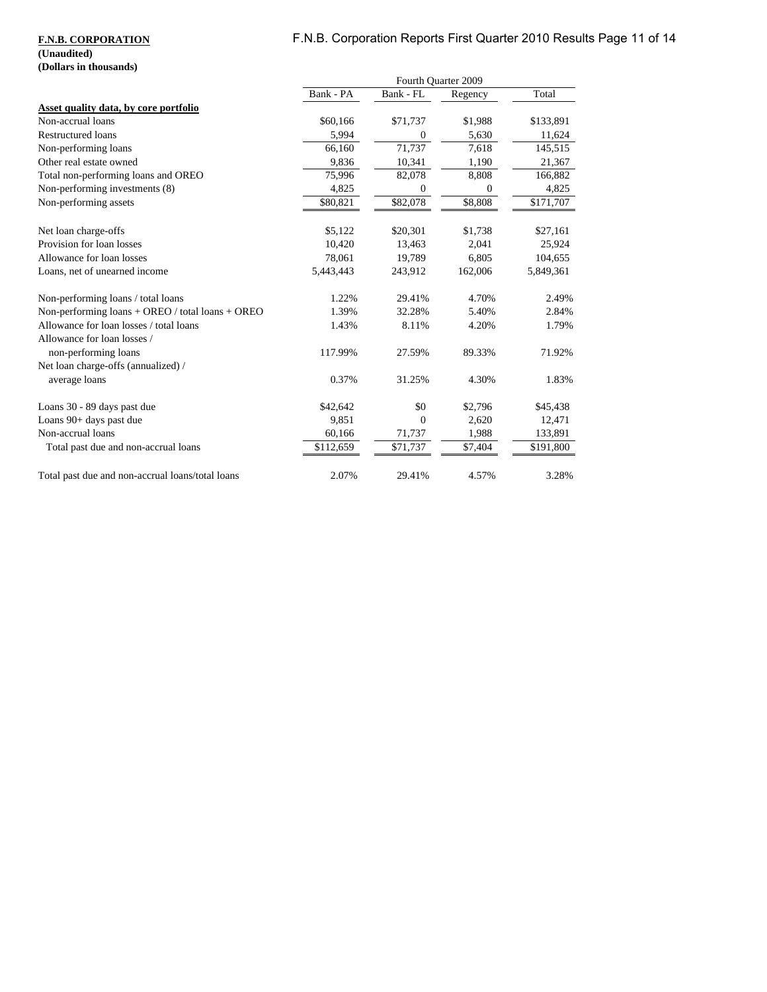# F.N.B. Corporation Reports First Quarter 2010 Results Page 11 of 14

### **F.N.B. CORPORATION**

### **(Unaudited) (Dollars in thousands)**

|                                                    | Fourth Quarter 2009 |           |              |           |
|----------------------------------------------------|---------------------|-----------|--------------|-----------|
|                                                    | Bank - PA           | Bank - FL | Regency      | Total     |
| Asset quality data, by core portfolio              |                     |           |              |           |
| Non-accrual loans                                  | \$60,166            | \$71,737  | \$1,988      | \$133,891 |
| Restructured loans                                 | 5,994               | $\Omega$  | 5,630        | 11,624    |
| Non-performing loans                               | 66,160              | 71,737    | 7,618        | 145,515   |
| Other real estate owned                            | 9,836               | 10,341    | 1,190        | 21,367    |
| Total non-performing loans and OREO                | 75,996              | 82,078    | 8,808        | 166,882   |
| Non-performing investments (8)                     | 4,825               | $\theta$  | $\mathbf{0}$ | 4,825     |
| Non-performing assets                              | \$80,821            | \$82,078  | \$8,808      | \$171,707 |
| Net loan charge-offs                               | \$5,122             | \$20,301  | \$1,738      | \$27,161  |
| Provision for loan losses                          | 10,420              | 13,463    | 2,041        | 25,924    |
| Allowance for loan losses                          | 78.061              | 19,789    | 6,805        | 104,655   |
| Loans, net of unearned income                      | 5,443,443           | 243,912   | 162,006      | 5,849,361 |
| Non-performing loans / total loans                 | 1.22%               | 29.41%    | 4.70%        | 2.49%     |
| Non-performing $loans + OREO / total loans + OREO$ | 1.39%               | 32.28%    | 5.40%        | 2.84%     |
| Allowance for loan losses / total loans            | 1.43%               | 8.11%     | 4.20%        | 1.79%     |
| Allowance for loan losses /                        |                     |           |              |           |
| non-performing loans                               | 117.99%             | 27.59%    | 89.33%       | 71.92%    |
| Net loan charge-offs (annualized) /                |                     |           |              |           |
| average loans                                      | 0.37%               | 31.25%    | 4.30%        | 1.83%     |
| Loans 30 - 89 days past due                        | \$42,642            | \$0       | \$2,796      | \$45,438  |
| Loans 90+ days past due                            | 9,851               | $\Omega$  | 2,620        | 12,471    |
| Non-accrual loans                                  | 60,166              | 71,737    | 1,988        | 133,891   |
| Total past due and non-accrual loans               | \$112,659           | \$71,737  | \$7,404      | \$191,800 |
| Total past due and non-accrual loans/total loans   | 2.07%               | 29.41%    | 4.57%        | 3.28%     |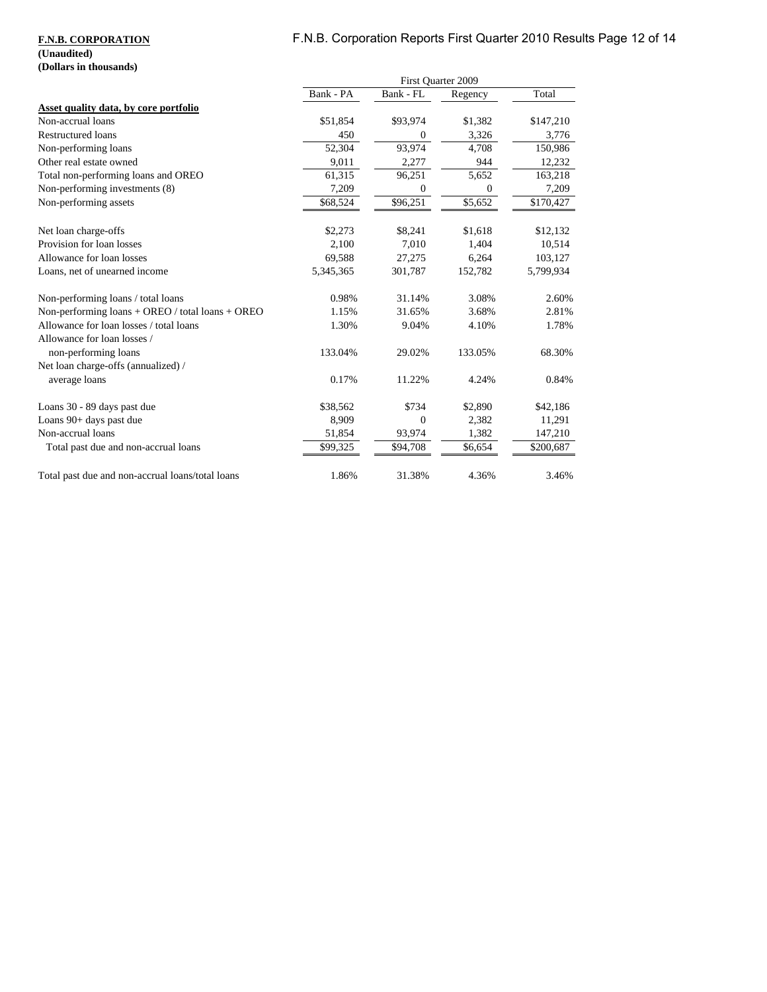# F.N.B. Corporation Reports First Quarter 2010 Results Page 12 of 14

### **F.N.B. CORPORATION**

### **(Unaudited) (Dollars in thousands)**

|                                                  | First Quarter 2009 |              |              |           |
|--------------------------------------------------|--------------------|--------------|--------------|-----------|
|                                                  | Bank - PA          | Bank - FL    | Regency      | Total     |
| Asset quality data, by core portfolio            |                    |              |              |           |
| Non-accrual loans                                | \$51,854           | \$93,974     | \$1,382      | \$147,210 |
| Restructured loans                               | 450                | $\theta$     | 3,326        | 3,776     |
| Non-performing loans                             | 52,304             | 93,974       | 4,708        | 150,986   |
| Other real estate owned                          | 9,011              | 2,277        | 944          | 12,232    |
| Total non-performing loans and OREO              | 61,315             | 96,251       | 5,652        | 163,218   |
| Non-performing investments (8)                   | 7,209              | $\theta$     | $\mathbf{0}$ | 7,209     |
| Non-performing assets                            | \$68,524           | \$96,251     | \$5,652      | \$170,427 |
| Net loan charge-offs                             | \$2,273            | \$8,241      | \$1,618      | \$12,132  |
| Provision for loan losses                        | 2,100              | 7,010        | 1,404        | 10,514    |
| Allowance for loan losses                        | 69,588             | 27,275       | 6,264        | 103,127   |
| Loans, net of unearned income                    | 5,345,365          | 301,787      | 152,782      | 5,799,934 |
| Non-performing loans / total loans               | 0.98%              | 31.14%       | 3.08%        | 2.60%     |
| Non-performing loans + OREO / total loans + OREO | 1.15%              | 31.65%       | 3.68%        | 2.81%     |
| Allowance for loan losses / total loans          | 1.30%              | 9.04%        | 4.10%        | 1.78%     |
| Allowance for loan losses /                      |                    |              |              |           |
| non-performing loans                             | 133.04%            | 29.02%       | 133.05%      | 68.30%    |
| Net loan charge-offs (annualized) /              |                    |              |              |           |
| average loans                                    | 0.17%              | 11.22%       | 4.24%        | 0.84%     |
| Loans 30 - 89 days past due                      | \$38,562           | \$734        | \$2,890      | \$42,186  |
| Loans 90+ days past due                          | 8,909              | $\mathbf{0}$ | 2,382        | 11,291    |
| Non-accrual loans                                | 51,854             | 93,974       | 1,382        | 147,210   |
| Total past due and non-accrual loans             | \$99,325           | \$94,708     | \$6,654      | \$200,687 |
| Total past due and non-accrual loans/total loans | 1.86%              | 31.38%       | 4.36%        | 3.46%     |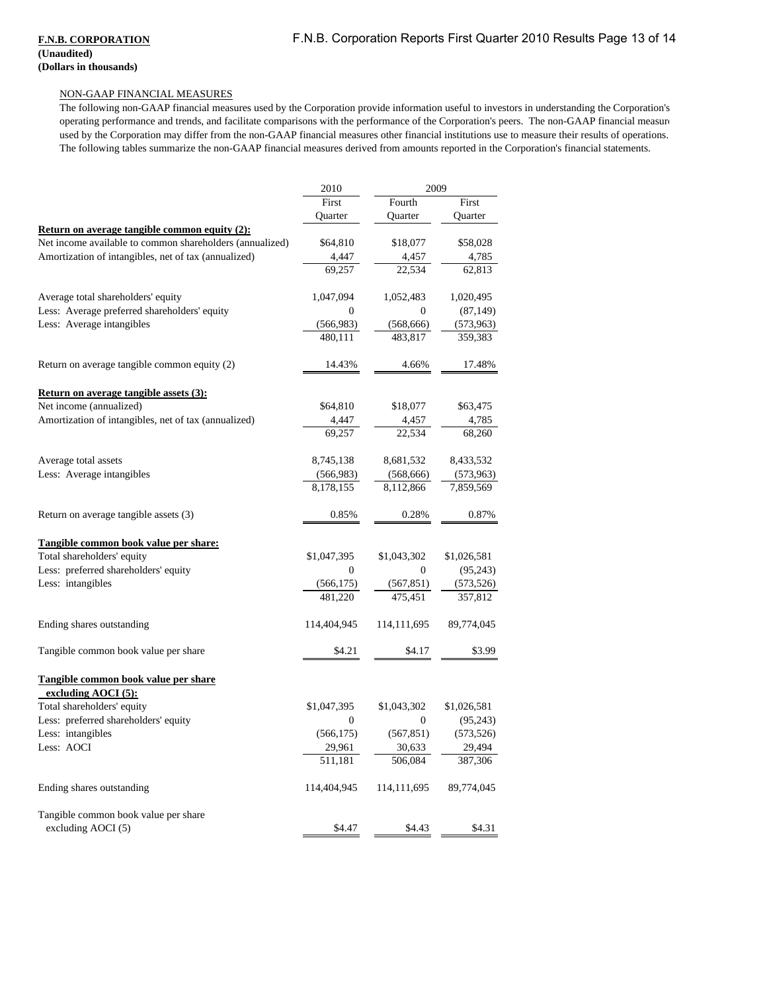#### **F.N.B. CORPORATION (Unaudited) (Dollars in thousands)**

#### NON-GAAP FINANCIAL MEASURES

The following non-GAAP financial measures used by the Corporation provide information useful to investors in understanding the Corporation's operating performance and trends, and facilitate comparisons with the performance of the Corporation's peers. The non-GAAP financial measure used by the Corporation may differ from the non-GAAP financial measures other financial institutions use to measure their results of operations. The following tables summarize the non-GAAP financial measures derived from amounts reported in the Corporation's financial statements.

|                                                          | 2009<br>2010      |                   |                   |
|----------------------------------------------------------|-------------------|-------------------|-------------------|
|                                                          | First             | Fourth            | First             |
|                                                          | Quarter           | Quarter           | Quarter           |
| <b>Return on average tangible common equity (2):</b>     |                   |                   |                   |
| Net income available to common shareholders (annualized) | \$64,810          | \$18,077          | \$58,028          |
| Amortization of intangibles, net of tax (annualized)     | 4,447             | 4,457             | 4,785             |
|                                                          | 69,257            | 22,534            | 62,813            |
| Average total shareholders' equity                       | 1,047,094         | 1,052,483         | 1,020,495         |
| Less: Average preferred shareholders' equity             | $\boldsymbol{0}$  | 0                 | (87, 149)         |
| Less: Average intangibles                                | (566,983)         | (568, 666)        | (573, 963)        |
|                                                          | 480,111           | 483,817           | 359,383           |
| Return on average tangible common equity (2)             | 14.43%            | 4.66%             | 17.48%            |
| <b>Return on average tangible assets (3):</b>            |                   |                   |                   |
| Net income (annualized)                                  | \$64,810          | \$18,077          | \$63,475          |
| Amortization of intangibles, net of tax (annualized)     | 4,447             | 4,457             | 4,785             |
|                                                          | 69,257            | 22,534            | 68,260            |
| Average total assets                                     | 8,745,138         | 8,681,532         | 8,433,532         |
| Less: Average intangibles                                | (566,983)         | (568, 666)        | (573,963)         |
|                                                          | 8,178,155         | 8,112,866         | 7,859,569         |
| Return on average tangible assets (3)                    | 0.85%             | 0.28%             | 0.87%             |
| Tangible common book value per share:                    |                   |                   |                   |
| Total shareholders' equity                               | \$1,047,395       | \$1,043,302       | \$1,026,581       |
| Less: preferred shareholders' equity                     | $\boldsymbol{0}$  | $\boldsymbol{0}$  | (95, 243)         |
| Less: intangibles                                        | (566, 175)        | (567, 851)        | (573, 526)        |
|                                                          | 481,220           | 475,451           | 357,812           |
| Ending shares outstanding                                | 114,404,945       | 114,111,695       | 89,774,045        |
| Tangible common book value per share                     | \$4.21            | \$4.17            | \$3.99            |
| Tangible common book value per share                     |                   |                   |                   |
| excluding AOCI (5):                                      |                   |                   |                   |
| Total shareholders' equity                               | \$1,047,395       | \$1,043,302       | \$1,026,581       |
| Less: preferred shareholders' equity                     | $\mathbf{0}$      | 0                 | (95, 243)         |
| Less: intangibles                                        | (566, 175)        | (567, 851)        | (573, 526)        |
| Less: AOCI                                               | 29,961<br>511,181 | 30,633<br>506,084 | 29,494<br>387,306 |
|                                                          |                   |                   |                   |
| Ending shares outstanding                                | 114,404,945       | 114, 111, 695     | 89,774,045        |
| Tangible common book value per share                     |                   |                   |                   |
| excluding $AOCI(5)$                                      | \$4.47            | \$4.43            | \$4.31            |